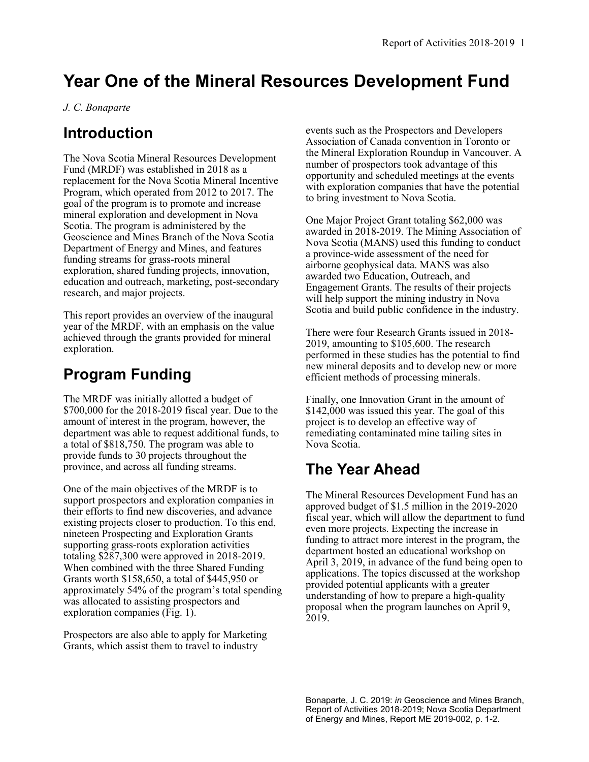## **Year One of the Mineral Resources Development Fund**

*J. C. Bonaparte*

## **Introduction**

The Nova Scotia Mineral Resources Development Fund (MRDF) was established in 2018 as a replacement for the Nova Scotia Mineral Incentive Program, which operated from 2012 to 2017. The goal of the program is to promote and increase mineral exploration and development in Nova Scotia. The program is administered by the Geoscience and Mines Branch of the Nova Scotia Department of Energy and Mines, and features funding streams for grass-roots mineral exploration, shared funding projects, innovation, education and outreach, marketing, post-secondary research, and major projects.

This report provides an overview of the inaugural year of the MRDF, with an emphasis on the value achieved through the grants provided for mineral exploration.

## **Program Funding**

The MRDF was initially allotted a budget of \$700,000 for the 2018-2019 fiscal year. Due to the amount of interest in the program, however, the department was able to request additional funds, to a total of \$818,750. The program was able to provide funds to 30 projects throughout the province, and across all funding streams.

One of the main objectives of the MRDF is to support prospectors and exploration companies in their efforts to find new discoveries, and advance existing projects closer to production. To this end, nineteen Prospecting and Exploration Grants supporting grass-roots exploration activities totaling \$287,300 were approved in 2018-2019. When combined with the three Shared Funding Grants worth \$158,650, a total of \$445,950 or approximately 54% of the program's total spending was allocated to assisting prospectors and exploration companies (Fig. 1).

Prospectors are also able to apply for Marketing Grants, which assist them to travel to industry

events such as the Prospectors and Developers Association of Canada convention in Toronto or the Mineral Exploration Roundup in Vancouver. A number of prospectors took advantage of this opportunity and scheduled meetings at the events with exploration companies that have the potential to bring investment to Nova Scotia.

One Major Project Grant totaling \$62,000 was awarded in 2018-2019. The Mining Association of Nova Scotia (MANS) used this funding to conduct a province-wide assessment of the need for airborne geophysical data. MANS was also awarded two Education, Outreach, and Engagement Grants. The results of their projects will help support the mining industry in Nova Scotia and build public confidence in the industry.

There were four Research Grants issued in 2018- 2019, amounting to \$105,600. The research performed in these studies has the potential to find new mineral deposits and to develop new or more efficient methods of processing minerals.

Finally, one Innovation Grant in the amount of \$142,000 was issued this year. The goal of this project is to develop an effective way of remediating contaminated mine tailing sites in Nova Scotia.

## **The Year Ahead**

The Mineral Resources Development Fund has an approved budget of \$1.5 million in the 2019-2020 fiscal year, which will allow the department to fund even more projects. Expecting the increase in funding to attract more interest in the program, the department hosted an educational workshop on April 3, 2019, in advance of the fund being open to applications. The topics discussed at the workshop provided potential applicants with a greater understanding of how to prepare a high-quality proposal when the program launches on April 9, 2019.